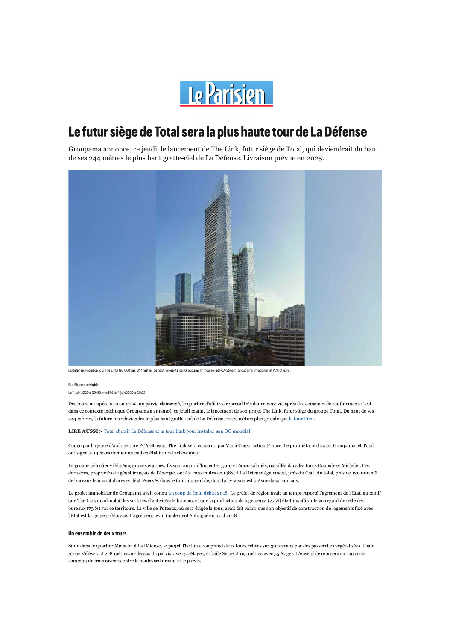

# Le futur siège de Total sera la plus haute tour de La Défense

Groupama annonce, ce jeudi, le lancement de The Link, futur siège de Total, qui deviendrait du haut de ses 244 mètres le plus haut gratte-ciel de La Défense. Livraison prévue en 2025.



La Défense. Projet de tour The Link (120 000 m2, 244 mètres de haut) présenté par Groupama Immobilier et PCA-Stream, Groupama Immobilier et PCA-Stream

#### Par Florence Hubin

Le 11 iuin 2020 à 09h59, modifié le 11 iuin 2020 à 22h22

Des tours occupées à 10 ou 20 %, un parvis clairsemé, le quartier d'affaires reprend très doucement vie après des semaines de confinement. C'est dans ce contexte inédit que Groupama a annoncé, ce jeudi matin, le lancement de son projet The Link, futur siège du groupe Total. Du haut de ses 244 mètres, la future tour deviendra le plus haut gratte-ciel de La Défense, treize mètres plus grande que la tour First.

#### **LIRE AUSSI** > Total choisit La Défense et la tour Link pour installer son QG mondial

Conçu par l'agence d'architecture PCA-Stream, The Link sera construit par Vinci Construction France. Le propriétaire du site, Groupama, et Total ont signé le 14 mars dernier un bail en état futur d'achèvement.

Le groupe pétrolier y déménagera ses équipes. Ils sont aujourd'hui entre 5500 et 6000 salariés, installés dans les tours Coupole et Michelet. Ces dernières, propriétés du géant français de l'énergie, ont été construites en 1982, à La Défense également, près du Cnit. Au total, près de 120 000 m<sup>2</sup> de bureaux leur sont d'ores et déjà réservés dans le futur immeuble, dont la livraison est prévue dans cinq ans.

Le projet immobilier de Groupama avait connu un coup de frein début 2018. Le préfet de région avait un temps reporté l'agrément de l'Etat, au motif que The Link quadruplait les surfaces d'activités de bureaux et que la production de logements (27 %) était insuffisante au regard de celle des bureaux (73 %) sur ce territoire. La ville de Puteaux, où sera érigée la tour, avait fait valoir que son objectif de construction de logements fixé avec l'Etat est largement dépassé. L'agrément avait finalement été signé en avril 2018.

#### Un ensemble de deux tours

Situé dans le quartier Michelet à La Défense, le projet The Link comprend deux tours reliées sur 30 niveaux par des passerelles végétalisées. L'aile Arche s'élèvera à 228 mètres au-dessus du parvis, avec 50 étages, et l'aile Seine, à 165 mètres avec 35 étages. L'ensemble reposera sur un socle commun de trois niveaux entre le boulevard urbain et le parvis.